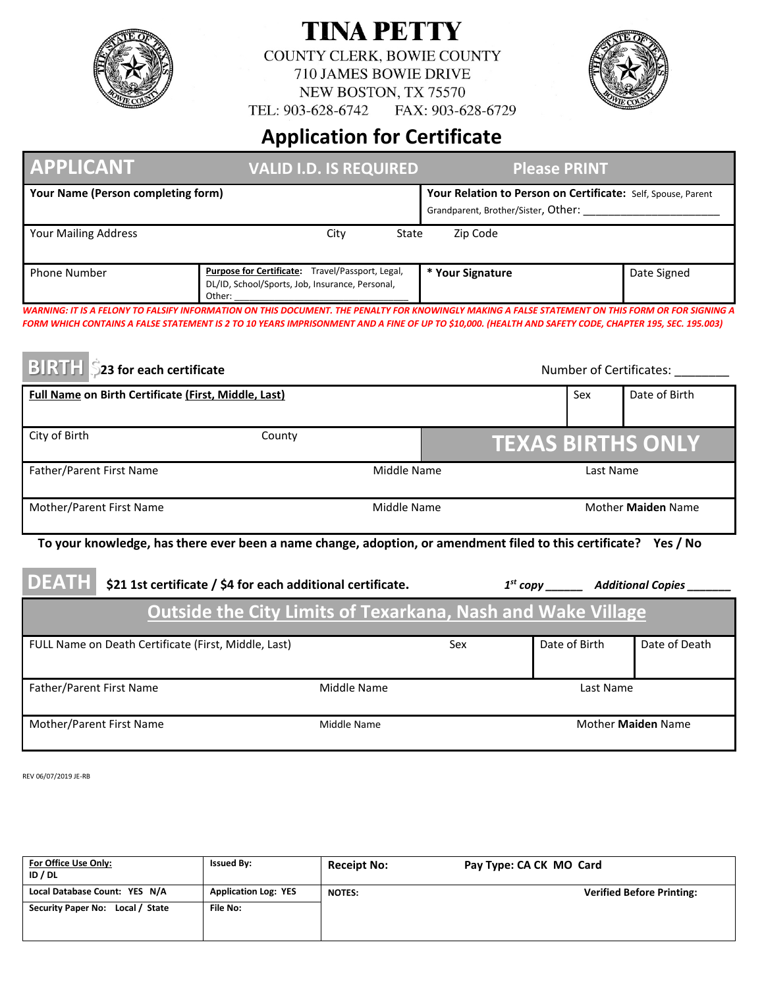

## **TINA PETTY**

COUNTY CLERK, BOWIE COUNTY 710 JAMES BOWIE DRIVE NEW BOSTON, TX 75570

FAX: 903-628-6729 TEL: 903-628-6742



## **Application for Certificate**

| <b>APPLICANT</b>                                     | <b>VALID I.D. IS REQUIRED</b>                                                                                                                                                                                                                                                                              |                  | <b>Please PRINT</b>                                          |                                           |  |
|------------------------------------------------------|------------------------------------------------------------------------------------------------------------------------------------------------------------------------------------------------------------------------------------------------------------------------------------------------------------|------------------|--------------------------------------------------------------|-------------------------------------------|--|
| Your Name (Person completing form)                   |                                                                                                                                                                                                                                                                                                            |                  | Your Relation to Person on Certificate: Self, Spouse, Parent |                                           |  |
| <b>Your Mailing Address</b>                          | City                                                                                                                                                                                                                                                                                                       | State            | Zip Code                                                     |                                           |  |
| <b>Phone Number</b>                                  | Purpose for Certificate: Travel/Passport, Legal,<br>DL/ID, School/Sports, Job, Insurance, Personal,<br>Other:                                                                                                                                                                                              | * Your Signature |                                                              | Date Signed                               |  |
| <b>BIRTH</b> \$23 for each certificate               | WARNING: IT IS A FELONY TO FALSIFY INFORMATION ON THIS DOCUMENT. THE PENALTY FOR KNOWINGLY MAKING A FALSE STATEMENT ON THIS FORM OR FOR SIGNING A<br>FORM WHICH CONTAINS A FALSE STATEMENT IS 2 TO 10 YEARS IMPRISONMENT AND A FINE OF UP TO \$10,000. (HEALTH AND SAFETY CODE, CHAPTER 195, SEC. 195.003) |                  |                                                              | Number of Certificates:                   |  |
| Full Name on Birth Certificate (First, Middle, Last) |                                                                                                                                                                                                                                                                                                            |                  | Date of Birth<br>Sex                                         |                                           |  |
|                                                      |                                                                                                                                                                                                                                                                                                            |                  |                                                              |                                           |  |
| City of Birth                                        | County                                                                                                                                                                                                                                                                                                     |                  |                                                              | <b>TEXAS BIRTHS ONLY</b>                  |  |
| Father/Parent First Name                             |                                                                                                                                                                                                                                                                                                            | Middle Name      | Last Name                                                    |                                           |  |
| Mother/Parent First Name                             |                                                                                                                                                                                                                                                                                                            | Middle Name      | Mother Maiden Name                                           |                                           |  |
|                                                      | To your knowledge, has there ever been a name change, adoption, or amendment filed to this certificate? Yes / No                                                                                                                                                                                           |                  |                                                              |                                           |  |
| <b>DEATH</b>                                         | \$21 1st certificate / \$4 for each additional certificate.                                                                                                                                                                                                                                                |                  |                                                              | 1st copy ________ Additional Copies _____ |  |
|                                                      | <b>Outside the City Limits of Texarkana, Nash and Wake Village</b>                                                                                                                                                                                                                                         |                  |                                                              |                                           |  |
| FULL Name on Death Certificate (First, Middle, Last) |                                                                                                                                                                                                                                                                                                            | Sex              | Date of Birth                                                | Date of Death                             |  |
| Father/Parent First Name                             | Middle Name                                                                                                                                                                                                                                                                                                |                  |                                                              | Last Name                                 |  |
| Mother/Parent First Name<br>Middle Name              |                                                                                                                                                                                                                                                                                                            |                  |                                                              |                                           |  |

REV 06/07/2019 JE-RB

| For Office Use Only:<br>ID / DL  | <b>Issued By:</b>           | <b>Receipt No:</b> | Pay Type: CA CK MO Card          |
|----------------------------------|-----------------------------|--------------------|----------------------------------|
| Local Database Count: YES N/A    | <b>Application Log: YES</b> | <b>NOTES:</b>      | <b>Verified Before Printing:</b> |
| Security Paper No: Local / State | <b>File No:</b>             |                    |                                  |